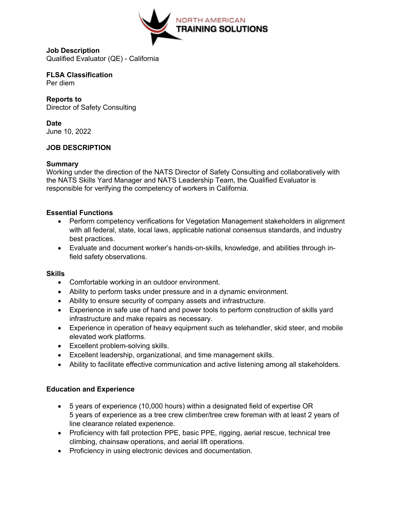

**Job Description** Qualified Evaluator (QE) - California

**FLSA Classification** Per diem

**Reports to**  Director of Safety Consulting

**Date** June 10, 2022

# **JOB DESCRIPTION**

## **Summary**

Working under the direction of the NATS Director of Safety Consulting and collaboratively with the NATS Skills Yard Manager and NATS Leadership Team, the Qualified Evaluator is responsible for verifying the competency of workers in California.

## **Essential Functions**

- Perform competency verifications for Vegetation Management stakeholders in alignment with all federal, state, local laws, applicable national consensus standards, and industry best practices.
- Evaluate and document worker's hands-on-skills, knowledge, and abilities through infield safety observations.

# **Skills**

- Comfortable working in an outdoor environment.
- Ability to perform tasks under pressure and in a dynamic environment.
- Ability to ensure security of company assets and infrastructure.
- Experience in safe use of hand and power tools to perform construction of skills yard infrastructure and make repairs as necessary.
- Experience in operation of heavy equipment such as telehandler, skid steer, and mobile elevated work platforms.
- Excellent problem-solving skills.
- Excellent leadership, organizational, and time management skills.
- Ability to facilitate effective communication and active listening among all stakeholders.

# **Education and Experience**

- 5 years of experience (10,000 hours) within a designated field of expertise OR 5 years of experience as a tree crew climber/tree crew foreman with at least 2 years of line clearance related experience.
- Proficiency with fall protection PPE, basic PPE, rigging, aerial rescue, technical tree climbing, chainsaw operations, and aerial lift operations.
- Proficiency in using electronic devices and documentation.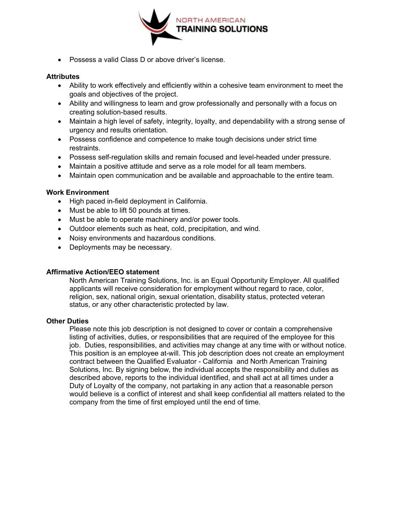

• Possess a valid Class D or above driver's license.

#### **Attributes**

- Ability to work effectively and efficiently within a cohesive team environment to meet the goals and objectives of the project.
- Ability and willingness to learn and grow professionally and personally with a focus on creating solution-based results.
- Maintain a high level of safety, integrity, loyalty, and dependability with a strong sense of urgency and results orientation.
- Possess confidence and competence to make tough decisions under strict time restraints.
- Possess self-regulation skills and remain focused and level-headed under pressure.
- Maintain a positive attitude and serve as a role model for all team members.
- Maintain open communication and be available and approachable to the entire team.

### **Work Environment**

- High paced in-field deployment in California.
- Must be able to lift 50 pounds at times.
- Must be able to operate machinery and/or power tools.
- Outdoor elements such as heat, cold, precipitation, and wind.
- Noisy environments and hazardous conditions.
- Deployments may be necessary.

### **Affirmative Action/EEO statement**

North American Training Solutions, Inc. is an Equal Opportunity Employer. All qualified applicants will receive consideration for employment without regard to race, color, religion, sex, national origin, sexual orientation, disability status, protected veteran status, or any other characteristic protected by law.

#### **Other Duties**

Please note this job description is not designed to cover or contain a comprehensive listing of activities, duties, or responsibilities that are required of the employee for this job. Duties, responsibilities, and activities may change at any time with or without notice. This position is an employee at-will. This job description does not create an employment contract between the Qualified Evaluator - California and North American Training Solutions, Inc. By signing below, the individual accepts the responsibility and duties as described above, reports to the individual identified, and shall act at all times under a Duty of Loyalty of the company, not partaking in any action that a reasonable person would believe is a conflict of interest and shall keep confidential all matters related to the company from the time of first employed until the end of time.